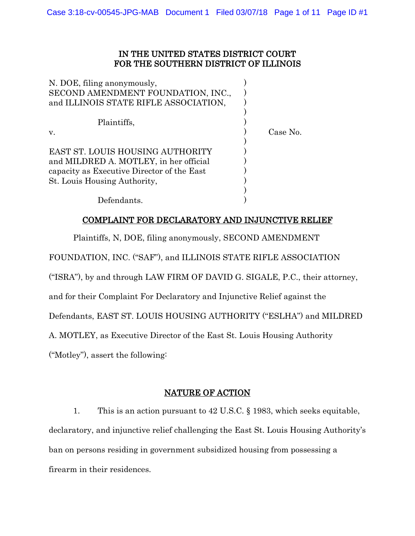# IN THE UNITED STATES DISTRICT COURT FOR THE SOUTHERN DISTRICT OF ILLINOIS

| N. DOE, filing anonymously,<br>SECOND AMENDMENT FOUNDATION, INC., |          |
|-------------------------------------------------------------------|----------|
| and ILLINOIS STATE RIFLE ASSOCIATION,                             |          |
| Plaintiffs,                                                       |          |
| v.                                                                | Case No. |
|                                                                   |          |
| EAST ST. LOUIS HOUSING AUTHORITY                                  |          |
| and MILDRED A. MOTLEY, in her official                            |          |
| capacity as Executive Director of the East                        |          |
| St. Louis Housing Authority,                                      |          |
|                                                                   |          |
| Defendants.                                                       |          |

# COMPLAINT FOR DECLARATORY AND INJUNCTIVE RELIEF

Plaintiffs, N, DOE, filing anonymously, SECOND AMENDMENT

FOUNDATION, INC. ("SAF"), and ILLINOIS STATE RIFLE ASSOCIATION

("ISRA"), by and through LAW FIRM OF DAVID G. SIGALE, P.C., their attorney,

and for their Complaint For Declaratory and Injunctive Relief against the

Defendants, EAST ST. LOUIS HOUSING AUTHORITY ("ESLHA") and MILDRED

A. MOTLEY, as Executive Director of the East St. Louis Housing Authority

("Motley"), assert the following:

# NATURE OF ACTION

1. This is an action pursuant to 42 U.S.C. § 1983, which seeks equitable, declaratory, and injunctive relief challenging the East St. Louis Housing Authority's ban on persons residing in government subsidized housing from possessing a firearm in their residences.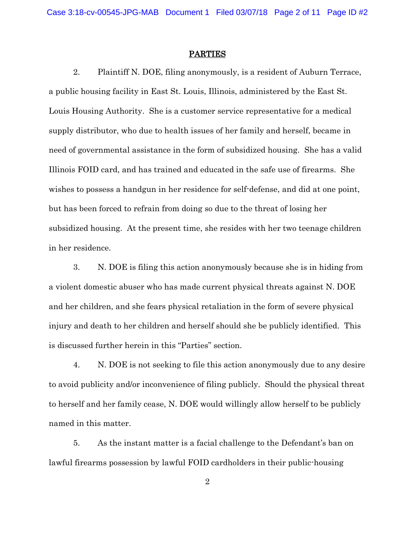#### PARTIES

2. Plaintiff N. DOE, filing anonymously, is a resident of Auburn Terrace, a public housing facility in East St. Louis, Illinois, administered by the East St. Louis Housing Authority. She is a customer service representative for a medical supply distributor, who due to health issues of her family and herself, became in need of governmental assistance in the form of subsidized housing. She has a valid Illinois FOID card, and has trained and educated in the safe use of firearms. She wishes to possess a handgun in her residence for self-defense, and did at one point, but has been forced to refrain from doing so due to the threat of losing her subsidized housing. At the present time, she resides with her two teenage children in her residence.

3. N. DOE is filing this action anonymously because she is in hiding from a violent domestic abuser who has made current physical threats against N. DOE and her children, and she fears physical retaliation in the form of severe physical injury and death to her children and herself should she be publicly identified. This is discussed further herein in this "Parties" section.

4. N. DOE is not seeking to file this action anonymously due to any desire to avoid publicity and/or inconvenience of filing publicly. Should the physical threat to herself and her family cease, N. DOE would willingly allow herself to be publicly named in this matter.

5. As the instant matter is a facial challenge to the Defendant's ban on lawful firearms possession by lawful FOID cardholders in their public-housing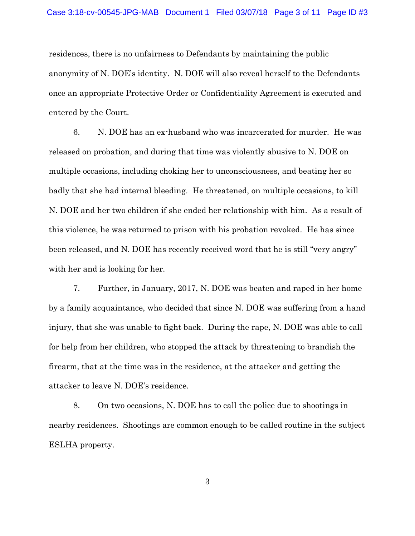residences, there is no unfairness to Defendants by maintaining the public anonymity of N. DOE's identity. N. DOE will also reveal herself to the Defendants once an appropriate Protective Order or Confidentiality Agreement is executed and entered by the Court.

6. N. DOE has an ex-husband who was incarcerated for murder. He was released on probation, and during that time was violently abusive to N. DOE on multiple occasions, including choking her to unconsciousness, and beating her so badly that she had internal bleeding. He threatened, on multiple occasions, to kill N. DOE and her two children if she ended her relationship with him. As a result of this violence, he was returned to prison with his probation revoked. He has since been released, and N. DOE has recently received word that he is still "very angry" with her and is looking for her.

7. Further, in January, 2017, N. DOE was beaten and raped in her home by a family acquaintance, who decided that since N. DOE was suffering from a hand injury, that she was unable to fight back. During the rape, N. DOE was able to call for help from her children, who stopped the attack by threatening to brandish the firearm, that at the time was in the residence, at the attacker and getting the attacker to leave N. DOE's residence.

8. On two occasions, N. DOE has to call the police due to shootings in nearby residences. Shootings are common enough to be called routine in the subject ESLHA property.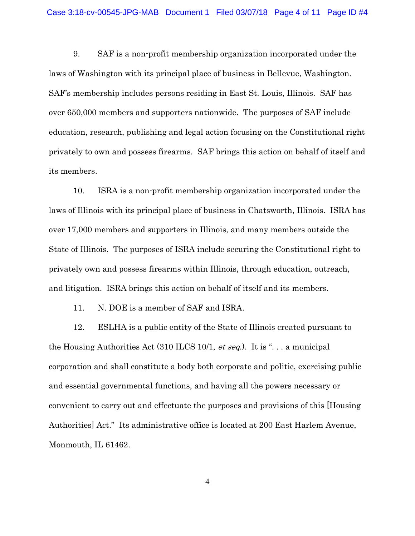9. SAF is a non-profit membership organization incorporated under the laws of Washington with its principal place of business in Bellevue, Washington. SAF's membership includes persons residing in East St. Louis, Illinois. SAF has over 650,000 members and supporters nationwide. The purposes of SAF include education, research, publishing and legal action focusing on the Constitutional right privately to own and possess firearms. SAF brings this action on behalf of itself and its members.

10. ISRA is a non-profit membership organization incorporated under the laws of Illinois with its principal place of business in Chatsworth, Illinois. ISRA has over 17,000 members and supporters in Illinois, and many members outside the State of Illinois. The purposes of ISRA include securing the Constitutional right to privately own and possess firearms within Illinois, through education, outreach, and litigation. ISRA brings this action on behalf of itself and its members.

11. N. DOE is a member of SAF and ISRA.

12. ESLHA is a public entity of the State of Illinois created pursuant to the Housing Authorities Act  $(310$  ILCS 10/1, *et seq.*). It is "... a municipal corporation and shall constitute a body both corporate and politic, exercising public and essential governmental functions, and having all the powers necessary or convenient to carry out and effectuate the purposes and provisions of this [Housing Authorities] Act." Its administrative office is located at 200 East Harlem Avenue, Monmouth, IL 61462.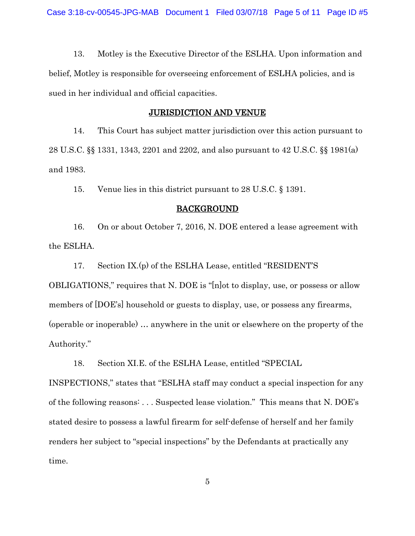13. Motley is the Executive Director of the ESLHA. Upon information and belief, Motley is responsible for overseeing enforcement of ESLHA policies, and is sued in her individual and official capacities.

## JURISDICTION AND VENUE

14. This Court has subject matter jurisdiction over this action pursuant to 28 U.S.C. §§ 1331, 1343, 2201 and 2202, and also pursuant to 42 U.S.C. §§ 1981(a) and 1983.

15. Venue lies in this district pursuant to 28 U.S.C. § 1391.

### BACKGROUND

16. On or about October 7, 2016, N. DOE entered a lease agreement with the ESLHA.

17. Section IX.(p) of the ESLHA Lease, entitled "RESIDENT'S OBLIGATIONS," requires that N. DOE is "[n]ot to display, use, or possess or allow members of [DOE's] household or guests to display, use, or possess any firearms, (operable or inoperable) … anywhere in the unit or elsewhere on the property of the Authority."

18. Section XI.E. of the ESLHA Lease, entitled "SPECIAL

INSPECTIONS," states that "ESLHA staff may conduct a special inspection for any of the following reasons: . . . Suspected lease violation." This means that N. DOE's stated desire to possess a lawful firearm for self-defense of herself and her family renders her subject to "special inspections" by the Defendants at practically any time.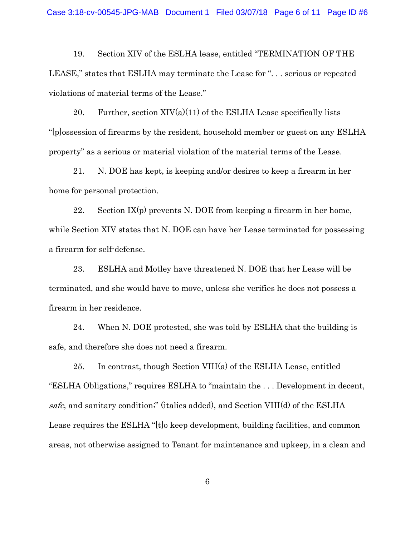19. Section XIV of the ESLHA lease, entitled "TERMINATION OF THE LEASE," states that ESLHA may terminate the Lease for ". . . serious or repeated violations of material terms of the Lease."

20. Further, section  $XIV(a)(11)$  of the ESLHA Lease specifically lists "[p]ossession of firearms by the resident, household member or guest on any ESLHA property" as a serious or material violation of the material terms of the Lease.

21. N. DOE has kept, is keeping and/or desires to keep a firearm in her home for personal protection.

22. Section  $IX(p)$  prevents N. DOE from keeping a firearm in her home, while Section XIV states that N. DOE can have her Lease terminated for possessing a firearm for self-defense.

23. ESLHA and Motley have threatened N. DOE that her Lease will be terminated, and she would have to move, unless she verifies he does not possess a firearm in her residence.

24. When N. DOE protested, she was told by ESLHA that the building is safe, and therefore she does not need a firearm.

25. In contrast, though Section VIII(a) of the ESLHA Lease, entitled "ESLHA Obligations," requires ESLHA to "maintain the . . . Development in decent, safe, and sanitary condition;" (italics added), and Section VIII(d) of the ESLHA Lease requires the ESLHA "[t]o keep development, building facilities, and common areas, not otherwise assigned to Tenant for maintenance and upkeep, in a clean and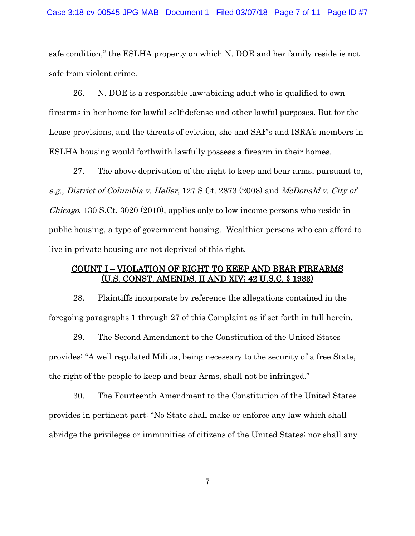safe condition," the ESLHA property on which N. DOE and her family reside is not safe from violent crime.

26. N. DOE is a responsible law-abiding adult who is qualified to own firearms in her home for lawful self-defense and other lawful purposes. But for the Lease provisions, and the threats of eviction, she and SAF's and ISRA's members in ESLHA housing would forthwith lawfully possess a firearm in their homes.

27. The above deprivation of the right to keep and bear arms, pursuant to, e.g., District of Columbia v. Heller, 127 S.Ct. 2873 (2008) and McDonald v. City of *Chicago*, 130 S.Ct. 3020 (2010), applies only to low income persons who reside in public housing, a type of government housing. Wealthier persons who can afford to live in private housing are not deprived of this right.

## COUNT I – VIOLATION OF RIGHT TO KEEP AND BEAR FIREARMS (U.S. CONST. AMENDS. II AND XIV; 42 U.S.C. § 1983)

28. Plaintiffs incorporate by reference the allegations contained in the foregoing paragraphs 1 through 27 of this Complaint as if set forth in full herein.

29. The Second Amendment to the Constitution of the United States provides: "A well regulated Militia, being necessary to the security of a free State, the right of the people to keep and bear Arms, shall not be infringed."

30. The Fourteenth Amendment to the Constitution of the United States provides in pertinent part: "No State shall make or enforce any law which shall abridge the privileges or immunities of citizens of the United States; nor shall any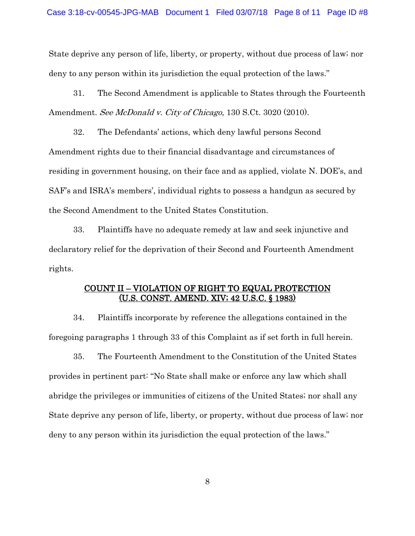State deprive any person of life, liberty, or property, without due process of law; nor deny to any person within its jurisdiction the equal protection of the laws."

31. The Second Amendment is applicable to States through the Fourteenth Amendment. See McDonald v. City of Chicago, 130 S.Ct. 3020 (2010).

32. The Defendants' actions, which deny lawful persons Second Amendment rights due to their financial disadvantage and circumstances of residing in government housing, on their face and as applied, violate N. DOE's, and SAF's and ISRA's members', individual rights to possess a handgun as secured by the Second Amendment to the United States Constitution.

33. Plaintiffs have no adequate remedy at law and seek injunctive and declaratory relief for the deprivation of their Second and Fourteenth Amendment rights.

# COUNT II – VIOLATION OF RIGHT TO EQUAL PROTECTION (U.S. CONST. AMEND. XIV; 42 U.S.C. § 1983)

34. Plaintiffs incorporate by reference the allegations contained in the foregoing paragraphs 1 through 33 of this Complaint as if set forth in full herein.

35. The Fourteenth Amendment to the Constitution of the United States provides in pertinent part: "No State shall make or enforce any law which shall abridge the privileges or immunities of citizens of the United States; nor shall any State deprive any person of life, liberty, or property, without due process of law; nor deny to any person within its jurisdiction the equal protection of the laws."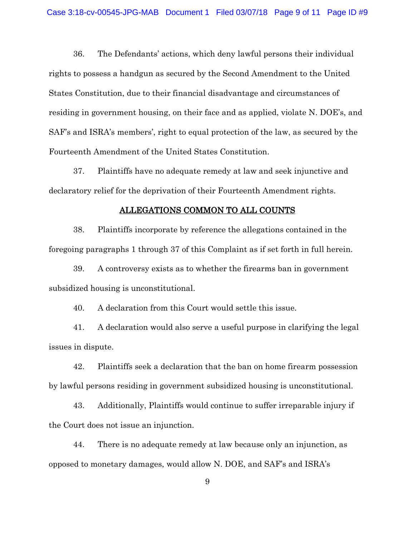36. The Defendants' actions, which deny lawful persons their individual rights to possess a handgun as secured by the Second Amendment to the United States Constitution, due to their financial disadvantage and circumstances of residing in government housing, on their face and as applied, violate N. DOE's, and SAF's and ISRA's members', right to equal protection of the law, as secured by the Fourteenth Amendment of the United States Constitution.

37. Plaintiffs have no adequate remedy at law and seek injunctive and declaratory relief for the deprivation of their Fourteenth Amendment rights.

#### ALLEGATIONS COMMON TO ALL COUNTS

38. Plaintiffs incorporate by reference the allegations contained in the foregoing paragraphs 1 through 37 of this Complaint as if set forth in full herein.

39. A controversy exists as to whether the firearms ban in government subsidized housing is unconstitutional.

40. A declaration from this Court would settle this issue.

41. A declaration would also serve a useful purpose in clarifying the legal issues in dispute.

42. Plaintiffs seek a declaration that the ban on home firearm possession by lawful persons residing in government subsidized housing is unconstitutional.

43. Additionally, Plaintiffs would continue to suffer irreparable injury if the Court does not issue an injunction.

44. There is no adequate remedy at law because only an injunction, as opposed to monetary damages, would allow N. DOE, and SAF's and ISRA's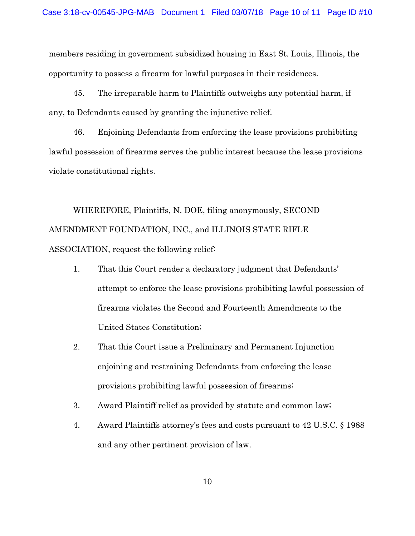members residing in government subsidized housing in East St. Louis, Illinois, the opportunity to possess a firearm for lawful purposes in their residences.

45. The irreparable harm to Plaintiffs outweighs any potential harm, if any, to Defendants caused by granting the injunctive relief.

46. Enjoining Defendants from enforcing the lease provisions prohibiting lawful possession of firearms serves the public interest because the lease provisions violate constitutional rights.

WHEREFORE, Plaintiffs, N. DOE, filing anonymously, SECOND AMENDMENT FOUNDATION, INC., and ILLINOIS STATE RIFLE ASSOCIATION, request the following relief:

- 1. That this Court render a declaratory judgment that Defendants' attempt to enforce the lease provisions prohibiting lawful possession of firearms violates the Second and Fourteenth Amendments to the United States Constitution;
- 2. That this Court issue a Preliminary and Permanent Injunction enjoining and restraining Defendants from enforcing the lease provisions prohibiting lawful possession of firearms;
- 3. Award Plaintiff relief as provided by statute and common law;
- 4. Award Plaintiffs attorney's fees and costs pursuant to 42 U.S.C. § 1988 and any other pertinent provision of law.